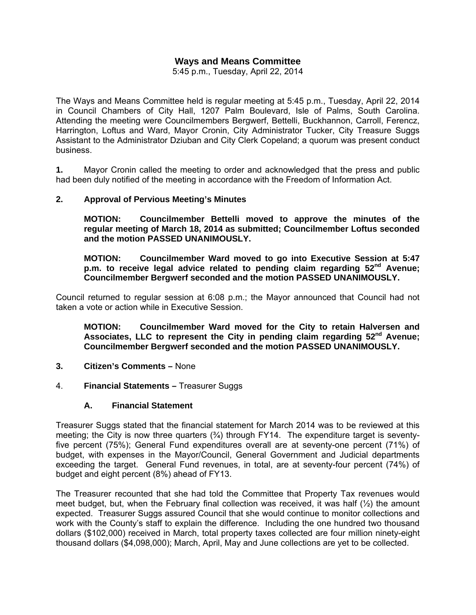# **Ways and Means Committee**

5:45 p.m., Tuesday, April 22, 2014

The Ways and Means Committee held is regular meeting at 5:45 p.m., Tuesday, April 22, 2014 in Council Chambers of City Hall, 1207 Palm Boulevard, Isle of Palms, South Carolina. Attending the meeting were Councilmembers Bergwerf, Bettelli, Buckhannon, Carroll, Ferencz, Harrington, Loftus and Ward, Mayor Cronin, City Administrator Tucker, City Treasure Suggs Assistant to the Administrator Dziuban and City Clerk Copeland; a quorum was present conduct business.

**1.** Mayor Cronin called the meeting to order and acknowledged that the press and public had been duly notified of the meeting in accordance with the Freedom of Information Act.

### **2. Approval of Pervious Meeting's Minutes**

 **MOTION: Councilmember Bettelli moved to approve the minutes of the regular meeting of March 18, 2014 as submitted; Councilmember Loftus seconded and the motion PASSED UNANIMOUSLY.** 

 **MOTION: Councilmember Ward moved to go into Executive Session at 5:47 p.m. to receive legal advice related to pending claim regarding 52nd Avenue; Councilmember Bergwerf seconded and the motion PASSED UNANIMOUSLY.** 

Council returned to regular session at 6:08 p.m.; the Mayor announced that Council had not taken a vote or action while in Executive Session.

**MOTION: Councilmember Ward moved for the City to retain Halversen and**  Associates, LLC to represent the City in pending claim regarding 52<sup>nd</sup> Avenue;  **Councilmember Bergwerf seconded and the motion PASSED UNANIMOUSLY.** 

- **3. Citizen's Comments** None
- 4. **Financial Statements** Treasurer Suggs

# **A. Financial Statement**

Treasurer Suggs stated that the financial statement for March 2014 was to be reviewed at this meeting; the City is now three quarters (%) through FY14. The expenditure target is seventyfive percent (75%); General Fund expenditures overall are at seventy-one percent (71%) of budget, with expenses in the Mayor/Council, General Government and Judicial departments exceeding the target. General Fund revenues, in total, are at seventy-four percent (74%) of budget and eight percent (8%) ahead of FY13.

The Treasurer recounted that she had told the Committee that Property Tax revenues would meet budget, but, when the February final collection was received, it was half  $(\frac{1}{2})$  the amount expected. Treasurer Suggs assured Council that she would continue to monitor collections and work with the County's staff to explain the difference. Including the one hundred two thousand dollars (\$102,000) received in March, total property taxes collected are four million ninety-eight thousand dollars (\$4,098,000); March, April, May and June collections are yet to be collected.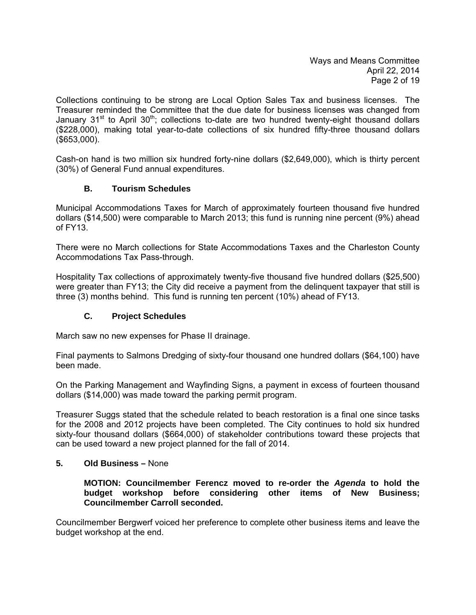Ways and Means Committee April 22, 2014 Page 2 of 19

Collections continuing to be strong are Local Option Sales Tax and business licenses. The Treasurer reminded the Committee that the due date for business licenses was changed from January 31<sup>st</sup> to April 30<sup>th</sup>; collections to-date are two hundred twenty-eight thousand dollars (\$228,000), making total year-to-date collections of six hundred fifty-three thousand dollars (\$653,000).

Cash-on hand is two million six hundred forty-nine dollars (\$2,649,000), which is thirty percent (30%) of General Fund annual expenditures.

# **B. Tourism Schedules**

Municipal Accommodations Taxes for March of approximately fourteen thousand five hundred dollars (\$14,500) were comparable to March 2013; this fund is running nine percent (9%) ahead of FY13.

There were no March collections for State Accommodations Taxes and the Charleston County Accommodations Tax Pass-through.

Hospitality Tax collections of approximately twenty-five thousand five hundred dollars (\$25,500) were greater than FY13; the City did receive a payment from the delinquent taxpayer that still is three (3) months behind. This fund is running ten percent (10%) ahead of FY13.

# **C. Project Schedules**

March saw no new expenses for Phase II drainage.

Final payments to Salmons Dredging of sixty-four thousand one hundred dollars (\$64,100) have been made.

On the Parking Management and Wayfinding Signs, a payment in excess of fourteen thousand dollars (\$14,000) was made toward the parking permit program.

Treasurer Suggs stated that the schedule related to beach restoration is a final one since tasks for the 2008 and 2012 projects have been completed. The City continues to hold six hundred sixty-four thousand dollars (\$664,000) of stakeholder contributions toward these projects that can be used toward a new project planned for the fall of 2014.

#### **5. Old Business –** None

#### **MOTION: Councilmember Ferencz moved to re-order the** *Agenda* **to hold the budget workshop before considering other items of New Business; Councilmember Carroll seconded.**

Councilmember Bergwerf voiced her preference to complete other business items and leave the budget workshop at the end.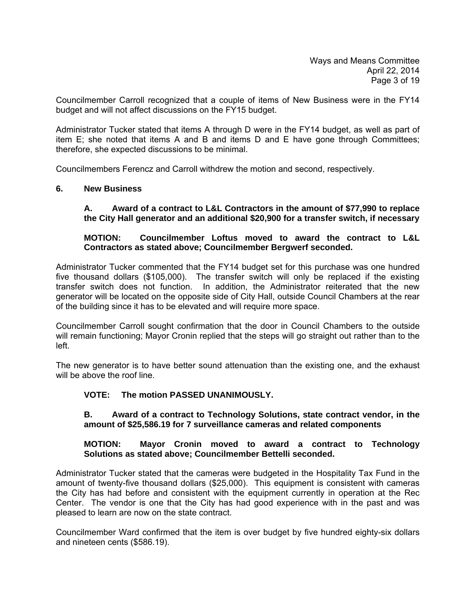Councilmember Carroll recognized that a couple of items of New Business were in the FY14 budget and will not affect discussions on the FY15 budget.

Administrator Tucker stated that items A through D were in the FY14 budget, as well as part of item  $E$ ; she noted that items A and B and items D and E have gone through Committees; therefore, she expected discussions to be minimal.

Councilmembers Ferencz and Carroll withdrew the motion and second, respectively.

#### **6. New Business**

### **A. Award of a contract to L&L Contractors in the amount of \$77,990 to replace the City Hall generator and an additional \$20,900 for a transfer switch, if necessary**

# **MOTION: Councilmember Loftus moved to award the contract to L&L Contractors as stated above; Councilmember Bergwerf seconded.**

Administrator Tucker commented that the FY14 budget set for this purchase was one hundred five thousand dollars (\$105,000). The transfer switch will only be replaced if the existing transfer switch does not function. In addition, the Administrator reiterated that the new generator will be located on the opposite side of City Hall, outside Council Chambers at the rear of the building since it has to be elevated and will require more space.

Councilmember Carroll sought confirmation that the door in Council Chambers to the outside will remain functioning; Mayor Cronin replied that the steps will go straight out rather than to the left.

The new generator is to have better sound attenuation than the existing one, and the exhaust will be above the roof line.

# **VOTE: The motion PASSED UNANIMOUSLY.**

### **B. Award of a contract to Technology Solutions, state contract vendor, in the amount of \$25,586.19 for 7 surveillance cameras and related components**

### **MOTION: Mayor Cronin moved to award a contract to Technology Solutions as stated above; Councilmember Bettelli seconded.**

Administrator Tucker stated that the cameras were budgeted in the Hospitality Tax Fund in the amount of twenty-five thousand dollars (\$25,000). This equipment is consistent with cameras the City has had before and consistent with the equipment currently in operation at the Rec Center. The vendor is one that the City has had good experience with in the past and was pleased to learn are now on the state contract.

Councilmember Ward confirmed that the item is over budget by five hundred eighty-six dollars and nineteen cents (\$586.19).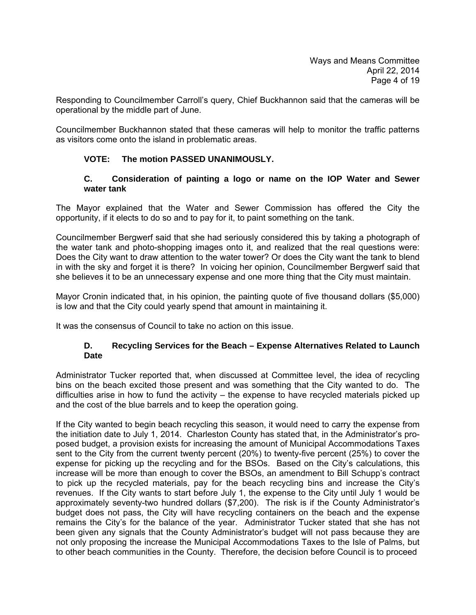Responding to Councilmember Carroll's query, Chief Buckhannon said that the cameras will be operational by the middle part of June.

Councilmember Buckhannon stated that these cameras will help to monitor the traffic patterns as visitors come onto the island in problematic areas.

# **VOTE: The motion PASSED UNANIMOUSLY.**

### **C. Consideration of painting a logo or name on the IOP Water and Sewer water tank**

The Mayor explained that the Water and Sewer Commission has offered the City the opportunity, if it elects to do so and to pay for it, to paint something on the tank.

Councilmember Bergwerf said that she had seriously considered this by taking a photograph of the water tank and photo-shopping images onto it, and realized that the real questions were: Does the City want to draw attention to the water tower? Or does the City want the tank to blend in with the sky and forget it is there? In voicing her opinion, Councilmember Bergwerf said that she believes it to be an unnecessary expense and one more thing that the City must maintain.

Mayor Cronin indicated that, in his opinion, the painting quote of five thousand dollars (\$5,000) is low and that the City could yearly spend that amount in maintaining it.

It was the consensus of Council to take no action on this issue.

### **D. Recycling Services for the Beach – Expense Alternatives Related to Launch Date**

Administrator Tucker reported that, when discussed at Committee level, the idea of recycling bins on the beach excited those present and was something that the City wanted to do. The difficulties arise in how to fund the activity  $-$  the expense to have recycled materials picked up and the cost of the blue barrels and to keep the operation going.

If the City wanted to begin beach recycling this season, it would need to carry the expense from the initiation date to July 1, 2014. Charleston County has stated that, in the Administrator's proposed budget, a provision exists for increasing the amount of Municipal Accommodations Taxes sent to the City from the current twenty percent (20%) to twenty-five percent (25%) to cover the expense for picking up the recycling and for the BSOs. Based on the City's calculations, this increase will be more than enough to cover the BSOs, an amendment to Bill Schupp's contract to pick up the recycled materials, pay for the beach recycling bins and increase the City's revenues. If the City wants to start before July 1, the expense to the City until July 1 would be approximately seventy-two hundred dollars (\$7,200). The risk is if the County Administrator's budget does not pass, the City will have recycling containers on the beach and the expense remains the City's for the balance of the year. Administrator Tucker stated that she has not been given any signals that the County Administrator's budget will not pass because they are not only proposing the increase the Municipal Accommodations Taxes to the Isle of Palms, but to other beach communities in the County. Therefore, the decision before Council is to proceed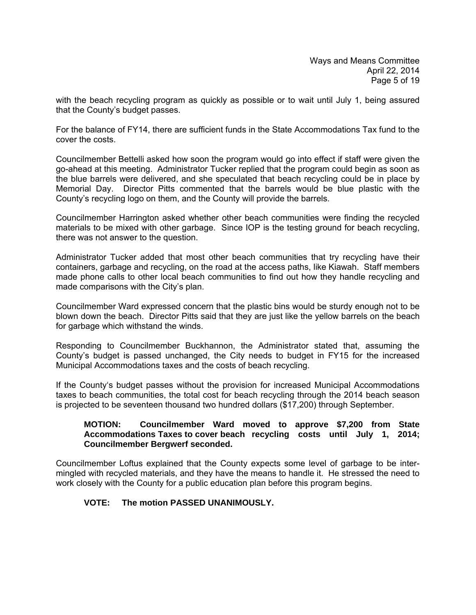with the beach recycling program as quickly as possible or to wait until July 1, being assured that the County's budget passes.

For the balance of FY14, there are sufficient funds in the State Accommodations Tax fund to the cover the costs.

Councilmember Bettelli asked how soon the program would go into effect if staff were given the go-ahead at this meeting. Administrator Tucker replied that the program could begin as soon as the blue barrels were delivered, and she speculated that beach recycling could be in place by Memorial Day. Director Pitts commented that the barrels would be blue plastic with the County's recycling logo on them, and the County will provide the barrels.

Councilmember Harrington asked whether other beach communities were finding the recycled materials to be mixed with other garbage. Since IOP is the testing ground for beach recycling, there was not answer to the question.

Administrator Tucker added that most other beach communities that try recycling have their containers, garbage and recycling, on the road at the access paths, like Kiawah. Staff members made phone calls to other local beach communities to find out how they handle recycling and made comparisons with the City's plan.

Councilmember Ward expressed concern that the plastic bins would be sturdy enough not to be blown down the beach. Director Pitts said that they are just like the yellow barrels on the beach for garbage which withstand the winds.

Responding to Councilmember Buckhannon, the Administrator stated that, assuming the County's budget is passed unchanged, the City needs to budget in FY15 for the increased Municipal Accommodations taxes and the costs of beach recycling.

If the County's budget passes without the provision for increased Municipal Accommodations taxes to beach communities, the total cost for beach recycling through the 2014 beach season is projected to be seventeen thousand two hundred dollars (\$17,200) through September.

#### **MOTION: Councilmember Ward moved to approve \$7,200 from State Accommodations Taxes to cover beach recycling costs until July 1, 2014; Councilmember Bergwerf seconded.**

Councilmember Loftus explained that the County expects some level of garbage to be intermingled with recycled materials, and they have the means to handle it. He stressed the need to work closely with the County for a public education plan before this program begins.

# **VOTE: The motion PASSED UNANIMOUSLY.**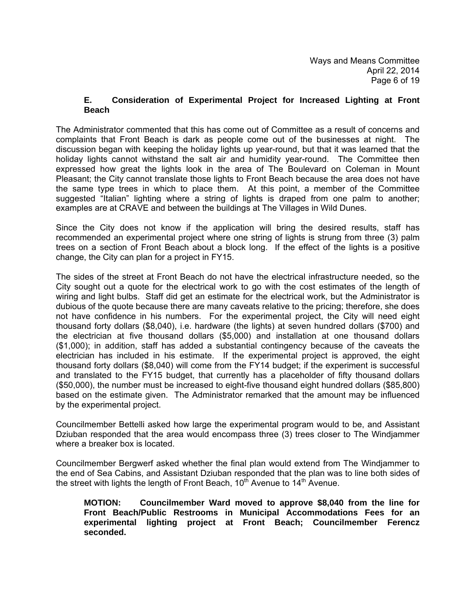#### **E. Consideration of Experimental Project for Increased Lighting at Front Beach**

The Administrator commented that this has come out of Committee as a result of concerns and complaints that Front Beach is dark as people come out of the businesses at night. The discussion began with keeping the holiday lights up year-round, but that it was learned that the holiday lights cannot withstand the salt air and humidity year-round. The Committee then expressed how great the lights look in the area of The Boulevard on Coleman in Mount Pleasant; the City cannot translate those lights to Front Beach because the area does not have the same type trees in which to place them. At this point, a member of the Committee suggested "Italian" lighting where a string of lights is draped from one palm to another; examples are at CRAVE and between the buildings at The Villages in Wild Dunes.

Since the City does not know if the application will bring the desired results, staff has recommended an experimental project where one string of lights is strung from three (3) palm trees on a section of Front Beach about a block long. If the effect of the lights is a positive change, the City can plan for a project in FY15.

The sides of the street at Front Beach do not have the electrical infrastructure needed, so the City sought out a quote for the electrical work to go with the cost estimates of the length of wiring and light bulbs. Staff did get an estimate for the electrical work, but the Administrator is dubious of the quote because there are many caveats relative to the pricing; therefore, she does not have confidence in his numbers. For the experimental project, the City will need eight thousand forty dollars (\$8,040), i.e. hardware (the lights) at seven hundred dollars (\$700) and the electrician at five thousand dollars (\$5,000) and installation at one thousand dollars (\$1,000); in addition, staff has added a substantial contingency because of the caveats the electrician has included in his estimate. If the experimental project is approved, the eight thousand forty dollars (\$8,040) will come from the FY14 budget; if the experiment is successful and translated to the FY15 budget, that currently has a placeholder of fifty thousand dollars (\$50,000), the number must be increased to eight-five thousand eight hundred dollars (\$85,800) based on the estimate given. The Administrator remarked that the amount may be influenced by the experimental project.

Councilmember Bettelli asked how large the experimental program would to be, and Assistant Dziuban responded that the area would encompass three (3) trees closer to The Windjammer where a breaker box is located.

Councilmember Bergwerf asked whether the final plan would extend from The Windjammer to the end of Sea Cabins, and Assistant Dziuban responded that the plan was to line both sides of the street with lights the length of Front Beach,  $10<sup>th</sup>$  Avenue to  $14<sup>th</sup>$  Avenue.

**MOTION: Councilmember Ward moved to approve \$8,040 from the line for Front Beach/Public Restrooms in Municipal Accommodations Fees for an experimental lighting project at Front Beach; Councilmember Ferencz seconded.**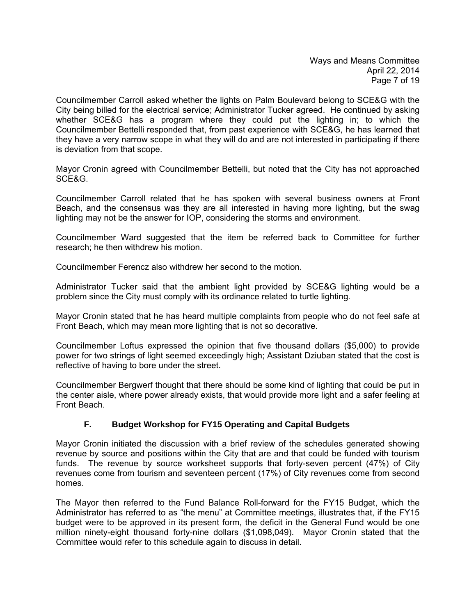Councilmember Carroll asked whether the lights on Palm Boulevard belong to SCE&G with the City being billed for the electrical service; Administrator Tucker agreed. He continued by asking whether SCE&G has a program where they could put the lighting in; to which the Councilmember Bettelli responded that, from past experience with SCE&G, he has learned that they have a very narrow scope in what they will do and are not interested in participating if there is deviation from that scope.

Mayor Cronin agreed with Councilmember Bettelli, but noted that the City has not approached SCE&G.

Councilmember Carroll related that he has spoken with several business owners at Front Beach, and the consensus was they are all interested in having more lighting, but the swag lighting may not be the answer for IOP, considering the storms and environment.

Councilmember Ward suggested that the item be referred back to Committee for further research; he then withdrew his motion.

Councilmember Ferencz also withdrew her second to the motion.

Administrator Tucker said that the ambient light provided by SCE&G lighting would be a problem since the City must comply with its ordinance related to turtle lighting.

Mayor Cronin stated that he has heard multiple complaints from people who do not feel safe at Front Beach, which may mean more lighting that is not so decorative.

Councilmember Loftus expressed the opinion that five thousand dollars (\$5,000) to provide power for two strings of light seemed exceedingly high; Assistant Dziuban stated that the cost is reflective of having to bore under the street.

Councilmember Bergwerf thought that there should be some kind of lighting that could be put in the center aisle, where power already exists, that would provide more light and a safer feeling at Front Beach.

# **F. Budget Workshop for FY15 Operating and Capital Budgets**

Mayor Cronin initiated the discussion with a brief review of the schedules generated showing revenue by source and positions within the City that are and that could be funded with tourism funds. The revenue by source worksheet supports that forty-seven percent (47%) of City revenues come from tourism and seventeen percent (17%) of City revenues come from second homes.

The Mayor then referred to the Fund Balance Roll-forward for the FY15 Budget, which the Administrator has referred to as "the menu" at Committee meetings, illustrates that, if the FY15 budget were to be approved in its present form, the deficit in the General Fund would be one million ninety-eight thousand forty-nine dollars (\$1,098,049). Mayor Cronin stated that the Committee would refer to this schedule again to discuss in detail.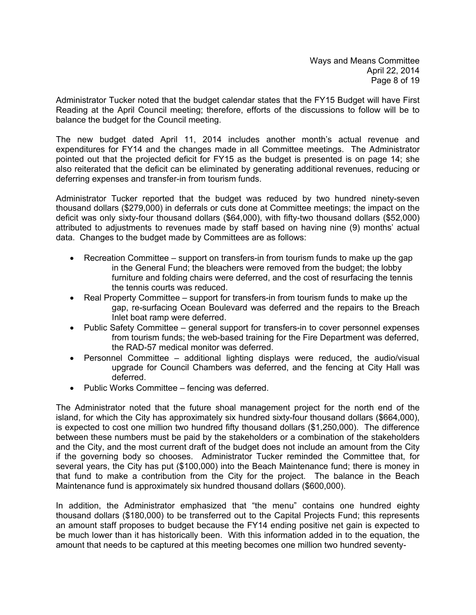Administrator Tucker noted that the budget calendar states that the FY15 Budget will have First Reading at the April Council meeting; therefore, efforts of the discussions to follow will be to balance the budget for the Council meeting.

The new budget dated April 11, 2014 includes another month's actual revenue and expenditures for FY14 and the changes made in all Committee meetings. The Administrator pointed out that the projected deficit for FY15 as the budget is presented is on page 14; she also reiterated that the deficit can be eliminated by generating additional revenues, reducing or deferring expenses and transfer-in from tourism funds.

Administrator Tucker reported that the budget was reduced by two hundred ninety-seven thousand dollars (\$279,000) in deferrals or cuts done at Committee meetings; the impact on the deficit was only sixty-four thousand dollars (\$64,000), with fifty-two thousand dollars (\$52,000) attributed to adjustments to revenues made by staff based on having nine (9) months' actual data. Changes to the budget made by Committees are as follows:

- Recreation Committee support on transfers-in from tourism funds to make up the gap in the General Fund; the bleachers were removed from the budget; the lobby furniture and folding chairs were deferred, and the cost of resurfacing the tennis the tennis courts was reduced.
- Real Property Committee support for transfers-in from tourism funds to make up the gap, re-surfacing Ocean Boulevard was deferred and the repairs to the Breach Inlet boat ramp were deferred.
- Public Safety Committee general support for transfers-in to cover personnel expenses from tourism funds; the web-based training for the Fire Department was deferred, the RAD-57 medical monitor was deferred.
- Personnel Committee additional lighting displays were reduced, the audio/visual upgrade for Council Chambers was deferred, and the fencing at City Hall was deferred.
- Public Works Committee fencing was deferred.

The Administrator noted that the future shoal management project for the north end of the island, for which the City has approximately six hundred sixty-four thousand dollars (\$664,000), is expected to cost one million two hundred fifty thousand dollars (\$1,250,000). The difference between these numbers must be paid by the stakeholders or a combination of the stakeholders and the City, and the most current draft of the budget does not include an amount from the City if the governing body so chooses. Administrator Tucker reminded the Committee that, for several years, the City has put (\$100,000) into the Beach Maintenance fund; there is money in that fund to make a contribution from the City for the project. The balance in the Beach Maintenance fund is approximately six hundred thousand dollars (\$600,000).

In addition, the Administrator emphasized that "the menu" contains one hundred eighty thousand dollars (\$180,000) to be transferred out to the Capital Projects Fund; this represents an amount staff proposes to budget because the FY14 ending positive net gain is expected to be much lower than it has historically been. With this information added in to the equation, the amount that needs to be captured at this meeting becomes one million two hundred seventy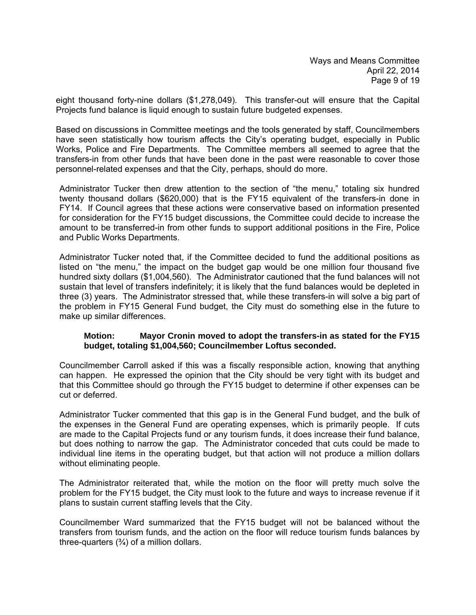eight thousand forty-nine dollars (\$1,278,049). This transfer-out will ensure that the Capital Projects fund balance is liquid enough to sustain future budgeted expenses.

Based on discussions in Committee meetings and the tools generated by staff, Councilmembers have seen statistically how tourism affects the City's operating budget, especially in Public Works, Police and Fire Departments. The Committee members all seemed to agree that the transfers-in from other funds that have been done in the past were reasonable to cover those personnel-related expenses and that the City, perhaps, should do more.

Administrator Tucker then drew attention to the section of "the menu," totaling six hundred twenty thousand dollars (\$620,000) that is the FY15 equivalent of the transfers-in done in FY14. If Council agrees that these actions were conservative based on information presented for consideration for the FY15 budget discussions, the Committee could decide to increase the amount to be transferred-in from other funds to support additional positions in the Fire, Police and Public Works Departments.

Administrator Tucker noted that, if the Committee decided to fund the additional positions as listed on "the menu," the impact on the budget gap would be one million four thousand five hundred sixty dollars (\$1,004,560). The Administrator cautioned that the fund balances will not sustain that level of transfers indefinitely; it is likely that the fund balances would be depleted in three (3) years. The Administrator stressed that, while these transfers-in will solve a big part of the problem in FY15 General Fund budget, the City must do something else in the future to make up similar differences.

### **Motion: Mayor Cronin moved to adopt the transfers-in as stated for the FY15 budget, totaling \$1,004,560; Councilmember Loftus seconded.**

Councilmember Carroll asked if this was a fiscally responsible action, knowing that anything can happen. He expressed the opinion that the City should be very tight with its budget and that this Committee should go through the FY15 budget to determine if other expenses can be cut or deferred.

Administrator Tucker commented that this gap is in the General Fund budget, and the bulk of the expenses in the General Fund are operating expenses, which is primarily people. If cuts are made to the Capital Projects fund or any tourism funds, it does increase their fund balance, but does nothing to narrow the gap. The Administrator conceded that cuts could be made to individual line items in the operating budget, but that action will not produce a million dollars without eliminating people.

The Administrator reiterated that, while the motion on the floor will pretty much solve the problem for the FY15 budget, the City must look to the future and ways to increase revenue if it plans to sustain current staffing levels that the City.

Councilmember Ward summarized that the FY15 budget will not be balanced without the transfers from tourism funds, and the action on the floor will reduce tourism funds balances by three-quarters  $(3/4)$  of a million dollars.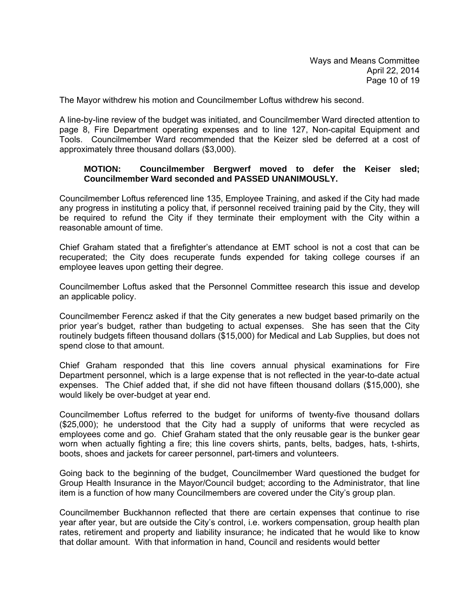The Mayor withdrew his motion and Councilmember Loftus withdrew his second.

A line-by-line review of the budget was initiated, and Councilmember Ward directed attention to page 8, Fire Department operating expenses and to line 127, Non-capital Equipment and Tools. Councilmember Ward recommended that the Keizer sled be deferred at a cost of approximately three thousand dollars (\$3,000).

### **MOTION: Councilmember Bergwerf moved to defer the Keiser sled; Councilmember Ward seconded and PASSED UNANIMOUSLY.**

Councilmember Loftus referenced line 135, Employee Training, and asked if the City had made any progress in instituting a policy that, if personnel received training paid by the City, they will be required to refund the City if they terminate their employment with the City within a reasonable amount of time.

Chief Graham stated that a firefighter's attendance at EMT school is not a cost that can be recuperated; the City does recuperate funds expended for taking college courses if an employee leaves upon getting their degree.

Councilmember Loftus asked that the Personnel Committee research this issue and develop an applicable policy.

Councilmember Ferencz asked if that the City generates a new budget based primarily on the prior year's budget, rather than budgeting to actual expenses. She has seen that the City routinely budgets fifteen thousand dollars (\$15,000) for Medical and Lab Supplies, but does not spend close to that amount.

Chief Graham responded that this line covers annual physical examinations for Fire Department personnel, which is a large expense that is not reflected in the year-to-date actual expenses. The Chief added that, if she did not have fifteen thousand dollars (\$15,000), she would likely be over-budget at year end.

Councilmember Loftus referred to the budget for uniforms of twenty-five thousand dollars (\$25,000); he understood that the City had a supply of uniforms that were recycled as employees come and go. Chief Graham stated that the only reusable gear is the bunker gear worn when actually fighting a fire; this line covers shirts, pants, belts, badges, hats, t-shirts, boots, shoes and jackets for career personnel, part-timers and volunteers.

Going back to the beginning of the budget, Councilmember Ward questioned the budget for Group Health Insurance in the Mayor/Council budget; according to the Administrator, that line item is a function of how many Councilmembers are covered under the City's group plan.

Councilmember Buckhannon reflected that there are certain expenses that continue to rise year after year, but are outside the City's control, i.e. workers compensation, group health plan rates, retirement and property and liability insurance; he indicated that he would like to know that dollar amount. With that information in hand, Council and residents would better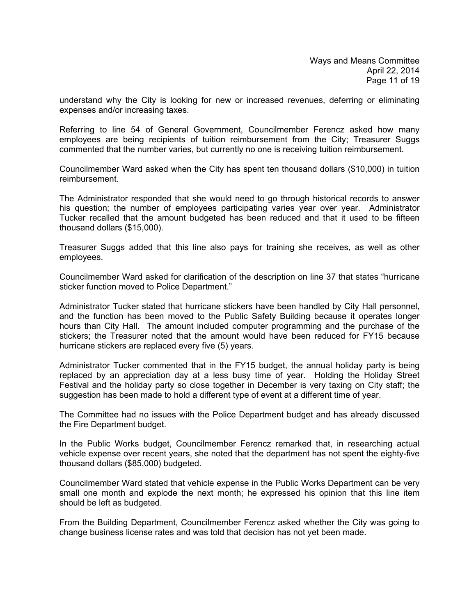understand why the City is looking for new or increased revenues, deferring or eliminating expenses and/or increasing taxes.

Referring to line 54 of General Government, Councilmember Ferencz asked how many employees are being recipients of tuition reimbursement from the City; Treasurer Suggs commented that the number varies, but currently no one is receiving tuition reimbursement.

Councilmember Ward asked when the City has spent ten thousand dollars (\$10,000) in tuition reimbursement.

The Administrator responded that she would need to go through historical records to answer his question; the number of employees participating varies year over year. Administrator Tucker recalled that the amount budgeted has been reduced and that it used to be fifteen thousand dollars (\$15,000).

Treasurer Suggs added that this line also pays for training she receives, as well as other employees.

Councilmember Ward asked for clarification of the description on line 37 that states "hurricane sticker function moved to Police Department."

Administrator Tucker stated that hurricane stickers have been handled by City Hall personnel, and the function has been moved to the Public Safety Building because it operates longer hours than City Hall. The amount included computer programming and the purchase of the stickers; the Treasurer noted that the amount would have been reduced for FY15 because hurricane stickers are replaced every five (5) years.

Administrator Tucker commented that in the FY15 budget, the annual holiday party is being replaced by an appreciation day at a less busy time of year. Holding the Holiday Street Festival and the holiday party so close together in December is very taxing on City staff; the suggestion has been made to hold a different type of event at a different time of year.

The Committee had no issues with the Police Department budget and has already discussed the Fire Department budget.

In the Public Works budget, Councilmember Ferencz remarked that, in researching actual vehicle expense over recent years, she noted that the department has not spent the eighty-five thousand dollars (\$85,000) budgeted.

Councilmember Ward stated that vehicle expense in the Public Works Department can be very small one month and explode the next month; he expressed his opinion that this line item should be left as budgeted.

From the Building Department, Councilmember Ferencz asked whether the City was going to change business license rates and was told that decision has not yet been made.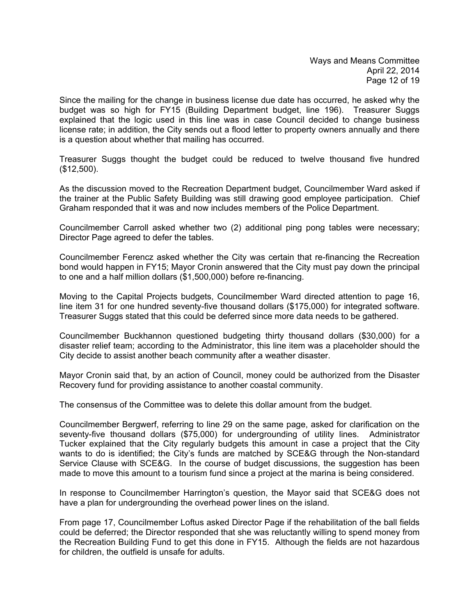Since the mailing for the change in business license due date has occurred, he asked why the budget was so high for FY15 (Building Department budget, line 196). Treasurer Suggs explained that the logic used in this line was in case Council decided to change business license rate; in addition, the City sends out a flood letter to property owners annually and there is a question about whether that mailing has occurred.

Treasurer Suggs thought the budget could be reduced to twelve thousand five hundred (\$12,500).

As the discussion moved to the Recreation Department budget, Councilmember Ward asked if the trainer at the Public Safety Building was still drawing good employee participation. Chief Graham responded that it was and now includes members of the Police Department.

Councilmember Carroll asked whether two (2) additional ping pong tables were necessary; Director Page agreed to defer the tables.

Councilmember Ferencz asked whether the City was certain that re-financing the Recreation bond would happen in FY15; Mayor Cronin answered that the City must pay down the principal to one and a half million dollars (\$1,500,000) before re-financing.

Moving to the Capital Projects budgets, Councilmember Ward directed attention to page 16, line item 31 for one hundred seventy-five thousand dollars (\$175,000) for integrated software. Treasurer Suggs stated that this could be deferred since more data needs to be gathered.

Councilmember Buckhannon questioned budgeting thirty thousand dollars (\$30,000) for a disaster relief team; according to the Administrator, this line item was a placeholder should the City decide to assist another beach community after a weather disaster.

Mayor Cronin said that, by an action of Council, money could be authorized from the Disaster Recovery fund for providing assistance to another coastal community.

The consensus of the Committee was to delete this dollar amount from the budget.

Councilmember Bergwerf, referring to line 29 on the same page, asked for clarification on the seventy-five thousand dollars (\$75,000) for undergrounding of utility lines. Administrator Tucker explained that the City regularly budgets this amount in case a project that the City wants to do is identified; the City's funds are matched by SCE&G through the Non-standard Service Clause with SCE&G. In the course of budget discussions, the suggestion has been made to move this amount to a tourism fund since a project at the marina is being considered.

In response to Councilmember Harrington's question, the Mayor said that SCE&G does not have a plan for undergrounding the overhead power lines on the island.

From page 17, Councilmember Loftus asked Director Page if the rehabilitation of the ball fields could be deferred; the Director responded that she was reluctantly willing to spend money from the Recreation Building Fund to get this done in FY15. Although the fields are not hazardous for children, the outfield is unsafe for adults.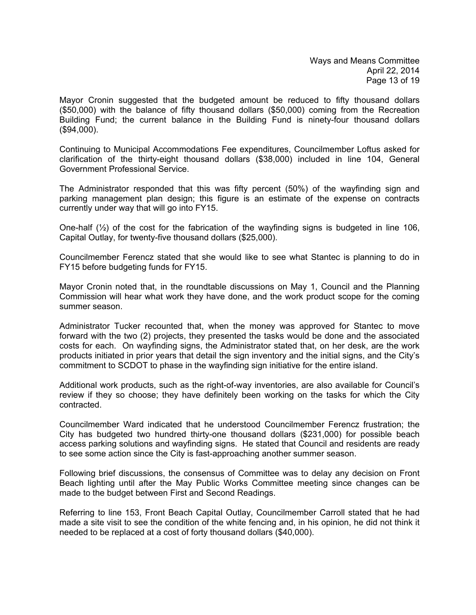Mayor Cronin suggested that the budgeted amount be reduced to fifty thousand dollars (\$50,000) with the balance of fifty thousand dollars (\$50,000) coming from the Recreation Building Fund; the current balance in the Building Fund is ninety-four thousand dollars (\$94,000).

Continuing to Municipal Accommodations Fee expenditures, Councilmember Loftus asked for clarification of the thirty-eight thousand dollars (\$38,000) included in line 104, General Government Professional Service.

The Administrator responded that this was fifty percent (50%) of the wayfinding sign and parking management plan design; this figure is an estimate of the expense on contracts currently under way that will go into FY15.

One-half (½) of the cost for the fabrication of the wayfinding signs is budgeted in line 106, Capital Outlay, for twenty-five thousand dollars (\$25,000).

Councilmember Ferencz stated that she would like to see what Stantec is planning to do in FY15 before budgeting funds for FY15.

Mayor Cronin noted that, in the roundtable discussions on May 1, Council and the Planning Commission will hear what work they have done, and the work product scope for the coming summer season.

Administrator Tucker recounted that, when the money was approved for Stantec to move forward with the two (2) projects, they presented the tasks would be done and the associated costs for each. On wayfinding signs, the Administrator stated that, on her desk, are the work products initiated in prior years that detail the sign inventory and the initial signs, and the City's commitment to SCDOT to phase in the wayfinding sign initiative for the entire island.

Additional work products, such as the right-of-way inventories, are also available for Council's review if they so choose; they have definitely been working on the tasks for which the City contracted.

Councilmember Ward indicated that he understood Councilmember Ferencz frustration; the City has budgeted two hundred thirty-one thousand dollars (\$231,000) for possible beach access parking solutions and wayfinding signs. He stated that Council and residents are ready to see some action since the City is fast-approaching another summer season.

Following brief discussions, the consensus of Committee was to delay any decision on Front Beach lighting until after the May Public Works Committee meeting since changes can be made to the budget between First and Second Readings.

Referring to line 153, Front Beach Capital Outlay, Councilmember Carroll stated that he had made a site visit to see the condition of the white fencing and, in his opinion, he did not think it needed to be replaced at a cost of forty thousand dollars (\$40,000).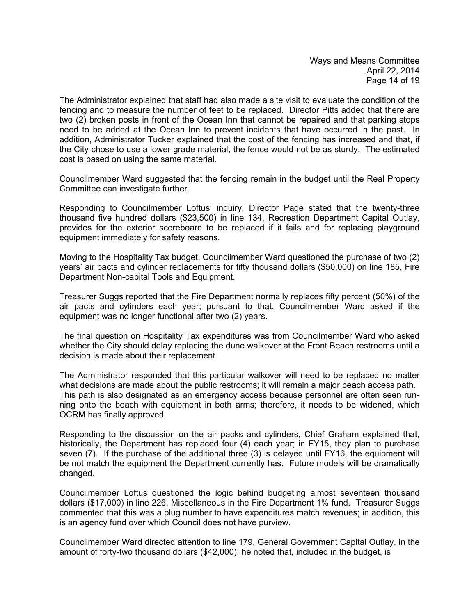The Administrator explained that staff had also made a site visit to evaluate the condition of the fencing and to measure the number of feet to be replaced. Director Pitts added that there are two (2) broken posts in front of the Ocean Inn that cannot be repaired and that parking stops need to be added at the Ocean Inn to prevent incidents that have occurred in the past. In addition, Administrator Tucker explained that the cost of the fencing has increased and that, if the City chose to use a lower grade material, the fence would not be as sturdy. The estimated cost is based on using the same material.

Councilmember Ward suggested that the fencing remain in the budget until the Real Property Committee can investigate further.

Responding to Councilmember Loftus' inquiry, Director Page stated that the twenty-three thousand five hundred dollars (\$23,500) in line 134, Recreation Department Capital Outlay, provides for the exterior scoreboard to be replaced if it fails and for replacing playground equipment immediately for safety reasons.

Moving to the Hospitality Tax budget, Councilmember Ward questioned the purchase of two (2) years' air pacts and cylinder replacements for fifty thousand dollars (\$50,000) on line 185, Fire Department Non-capital Tools and Equipment.

Treasurer Suggs reported that the Fire Department normally replaces fifty percent (50%) of the air pacts and cylinders each year; pursuant to that, Councilmember Ward asked if the equipment was no longer functional after two (2) years.

The final question on Hospitality Tax expenditures was from Councilmember Ward who asked whether the City should delay replacing the dune walkover at the Front Beach restrooms until a decision is made about their replacement.

The Administrator responded that this particular walkover will need to be replaced no matter what decisions are made about the public restrooms; it will remain a major beach access path. This path is also designated as an emergency access because personnel are often seen running onto the beach with equipment in both arms; therefore, it needs to be widened, which OCRM has finally approved.

Responding to the discussion on the air packs and cylinders, Chief Graham explained that, historically, the Department has replaced four (4) each year; in FY15, they plan to purchase seven (7). If the purchase of the additional three (3) is delayed until FY16, the equipment will be not match the equipment the Department currently has. Future models will be dramatically changed.

Councilmember Loftus questioned the logic behind budgeting almost seventeen thousand dollars (\$17,000) in line 226, Miscellaneous in the Fire Department 1% fund. Treasurer Suggs commented that this was a plug number to have expenditures match revenues; in addition, this is an agency fund over which Council does not have purview.

Councilmember Ward directed attention to line 179, General Government Capital Outlay, in the amount of forty-two thousand dollars (\$42,000); he noted that, included in the budget, is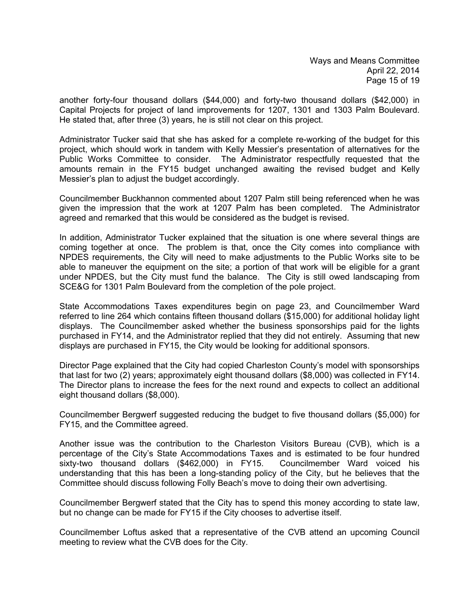another forty-four thousand dollars (\$44,000) and forty-two thousand dollars (\$42,000) in Capital Projects for project of land improvements for 1207, 1301 and 1303 Palm Boulevard. He stated that, after three (3) years, he is still not clear on this project.

Administrator Tucker said that she has asked for a complete re-working of the budget for this project, which should work in tandem with Kelly Messier's presentation of alternatives for the Public Works Committee to consider. The Administrator respectfully requested that the amounts remain in the FY15 budget unchanged awaiting the revised budget and Kelly Messier's plan to adjust the budget accordingly.

Councilmember Buckhannon commented about 1207 Palm still being referenced when he was given the impression that the work at 1207 Palm has been completed. The Administrator agreed and remarked that this would be considered as the budget is revised.

In addition, Administrator Tucker explained that the situation is one where several things are coming together at once. The problem is that, once the City comes into compliance with NPDES requirements, the City will need to make adjustments to the Public Works site to be able to maneuver the equipment on the site; a portion of that work will be eligible for a grant under NPDES, but the City must fund the balance. The City is still owed landscaping from SCE&G for 1301 Palm Boulevard from the completion of the pole project.

State Accommodations Taxes expenditures begin on page 23, and Councilmember Ward referred to line 264 which contains fifteen thousand dollars (\$15,000) for additional holiday light displays. The Councilmember asked whether the business sponsorships paid for the lights purchased in FY14, and the Administrator replied that they did not entirely. Assuming that new displays are purchased in FY15, the City would be looking for additional sponsors.

Director Page explained that the City had copied Charleston County's model with sponsorships that last for two (2) years; approximately eight thousand dollars (\$8,000) was collected in FY14. The Director plans to increase the fees for the next round and expects to collect an additional eight thousand dollars (\$8,000).

Councilmember Bergwerf suggested reducing the budget to five thousand dollars (\$5,000) for FY15, and the Committee agreed.

Another issue was the contribution to the Charleston Visitors Bureau (CVB), which is a percentage of the City's State Accommodations Taxes and is estimated to be four hundred sixty-two thousand dollars (\$462,000) in FY15. Councilmember Ward voiced his understanding that this has been a long-standing policy of the City, but he believes that the Committee should discuss following Folly Beach's move to doing their own advertising.

Councilmember Bergwerf stated that the City has to spend this money according to state law, but no change can be made for FY15 if the City chooses to advertise itself.

Councilmember Loftus asked that a representative of the CVB attend an upcoming Council meeting to review what the CVB does for the City.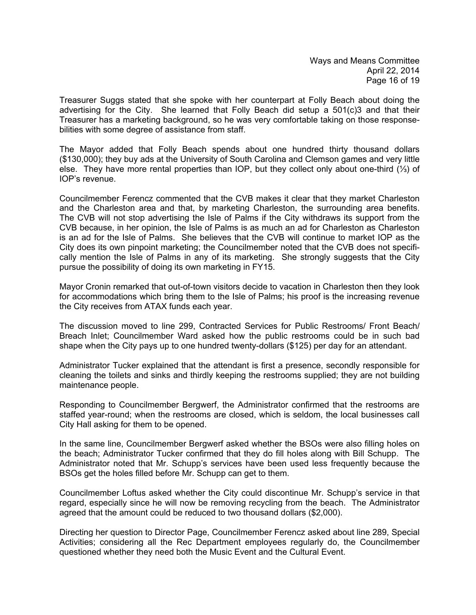Ways and Means Committee April 22, 2014 Page 16 of 19

Treasurer Suggs stated that she spoke with her counterpart at Folly Beach about doing the advertising for the City. She learned that Folly Beach did setup a 501(c)3 and that their Treasurer has a marketing background, so he was very comfortable taking on those responsebilities with some degree of assistance from staff.

The Mayor added that Folly Beach spends about one hundred thirty thousand dollars (\$130,000); they buy ads at the University of South Carolina and Clemson games and very little else. They have more rental properties than IOP, but they collect only about one-third (⅓) of IOP's revenue.

Councilmember Ferencz commented that the CVB makes it clear that they market Charleston and the Charleston area and that, by marketing Charleston, the surrounding area benefits. The CVB will not stop advertising the Isle of Palms if the City withdraws its support from the CVB because, in her opinion, the Isle of Palms is as much an ad for Charleston as Charleston is an ad for the Isle of Palms. She believes that the CVB will continue to market IOP as the City does its own pinpoint marketing; the Councilmember noted that the CVB does not specifically mention the Isle of Palms in any of its marketing. She strongly suggests that the City pursue the possibility of doing its own marketing in FY15.

Mayor Cronin remarked that out-of-town visitors decide to vacation in Charleston then they look for accommodations which bring them to the Isle of Palms; his proof is the increasing revenue the City receives from ATAX funds each year.

The discussion moved to line 299, Contracted Services for Public Restrooms/ Front Beach/ Breach Inlet; Councilmember Ward asked how the public restrooms could be in such bad shape when the City pays up to one hundred twenty-dollars (\$125) per day for an attendant.

Administrator Tucker explained that the attendant is first a presence, secondly responsible for cleaning the toilets and sinks and thirdly keeping the restrooms supplied; they are not building maintenance people.

Responding to Councilmember Bergwerf, the Administrator confirmed that the restrooms are staffed year-round; when the restrooms are closed, which is seldom, the local businesses call City Hall asking for them to be opened.

In the same line, Councilmember Bergwerf asked whether the BSOs were also filling holes on the beach; Administrator Tucker confirmed that they do fill holes along with Bill Schupp. The Administrator noted that Mr. Schupp's services have been used less frequently because the BSOs get the holes filled before Mr. Schupp can get to them.

Councilmember Loftus asked whether the City could discontinue Mr. Schupp's service in that regard, especially since he will now be removing recycling from the beach. The Administrator agreed that the amount could be reduced to two thousand dollars (\$2,000).

Directing her question to Director Page, Councilmember Ferencz asked about line 289, Special Activities; considering all the Rec Department employees regularly do, the Councilmember questioned whether they need both the Music Event and the Cultural Event.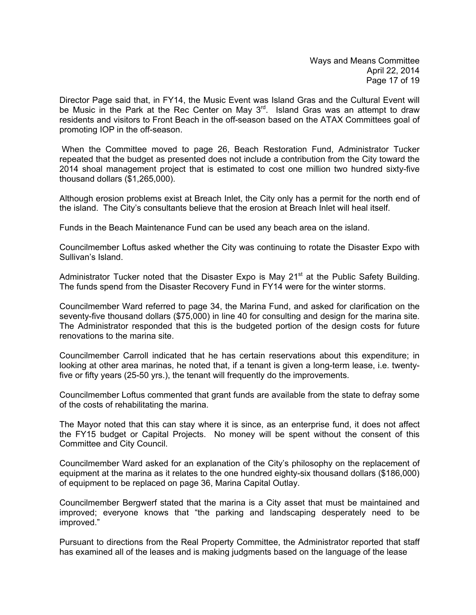Director Page said that, in FY14, the Music Event was Island Gras and the Cultural Event will be Music in the Park at the Rec Center on May 3<sup>rd</sup>. Island Gras was an attempt to draw residents and visitors to Front Beach in the off-season based on the ATAX Committees goal of promoting IOP in the off-season.

 When the Committee moved to page 26, Beach Restoration Fund, Administrator Tucker repeated that the budget as presented does not include a contribution from the City toward the 2014 shoal management project that is estimated to cost one million two hundred sixty-five thousand dollars (\$1,265,000).

Although erosion problems exist at Breach Inlet, the City only has a permit for the north end of the island. The City's consultants believe that the erosion at Breach Inlet will heal itself.

Funds in the Beach Maintenance Fund can be used any beach area on the island.

Councilmember Loftus asked whether the City was continuing to rotate the Disaster Expo with Sullivan's Island.

Administrator Tucker noted that the Disaster Expo is May  $21<sup>st</sup>$  at the Public Safety Building. The funds spend from the Disaster Recovery Fund in FY14 were for the winter storms.

Councilmember Ward referred to page 34, the Marina Fund, and asked for clarification on the seventy-five thousand dollars (\$75,000) in line 40 for consulting and design for the marina site. The Administrator responded that this is the budgeted portion of the design costs for future renovations to the marina site.

Councilmember Carroll indicated that he has certain reservations about this expenditure; in looking at other area marinas, he noted that, if a tenant is given a long-term lease, i.e. twentyfive or fifty years (25-50 yrs.), the tenant will frequently do the improvements.

Councilmember Loftus commented that grant funds are available from the state to defray some of the costs of rehabilitating the marina.

The Mayor noted that this can stay where it is since, as an enterprise fund, it does not affect the FY15 budget or Capital Projects. No money will be spent without the consent of this Committee and City Council.

Councilmember Ward asked for an explanation of the City's philosophy on the replacement of equipment at the marina as it relates to the one hundred eighty-six thousand dollars (\$186,000) of equipment to be replaced on page 36, Marina Capital Outlay.

Councilmember Bergwerf stated that the marina is a City asset that must be maintained and improved; everyone knows that "the parking and landscaping desperately need to be improved."

Pursuant to directions from the Real Property Committee, the Administrator reported that staff has examined all of the leases and is making judgments based on the language of the lease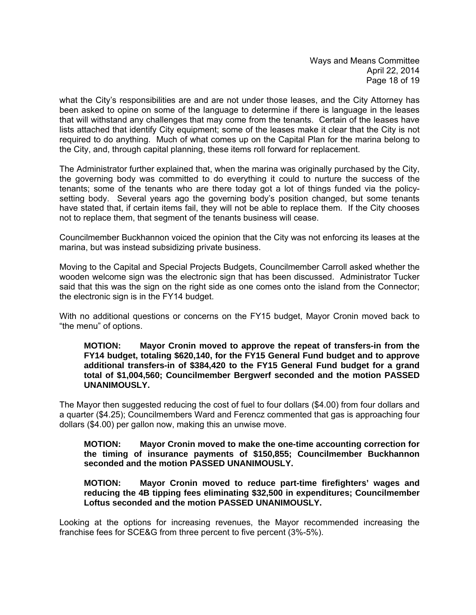what the City's responsibilities are and are not under those leases, and the City Attorney has been asked to opine on some of the language to determine if there is language in the leases that will withstand any challenges that may come from the tenants. Certain of the leases have lists attached that identify City equipment; some of the leases make it clear that the City is not required to do anything. Much of what comes up on the Capital Plan for the marina belong to the City, and, through capital planning, these items roll forward for replacement.

The Administrator further explained that, when the marina was originally purchased by the City, the governing body was committed to do everything it could to nurture the success of the tenants; some of the tenants who are there today got a lot of things funded via the policysetting body. Several years ago the governing body's position changed, but some tenants have stated that, if certain items fail, they will not be able to replace them. If the City chooses not to replace them, that segment of the tenants business will cease.

Councilmember Buckhannon voiced the opinion that the City was not enforcing its leases at the marina, but was instead subsidizing private business.

Moving to the Capital and Special Projects Budgets, Councilmember Carroll asked whether the wooden welcome sign was the electronic sign that has been discussed. Administrator Tucker said that this was the sign on the right side as one comes onto the island from the Connector; the electronic sign is in the FY14 budget.

With no additional questions or concerns on the FY15 budget, Mayor Cronin moved back to "the menu" of options.

**MOTION: Mayor Cronin moved to approve the repeat of transfers-in from the FY14 budget, totaling \$620,140, for the FY15 General Fund budget and to approve additional transfers-in of \$384,420 to the FY15 General Fund budget for a grand total of \$1,004,560; Councilmember Bergwerf seconded and the motion PASSED UNANIMOUSLY.** 

The Mayor then suggested reducing the cost of fuel to four dollars (\$4.00) from four dollars and a quarter (\$4.25); Councilmembers Ward and Ferencz commented that gas is approaching four dollars (\$4.00) per gallon now, making this an unwise move.

**MOTION: Mayor Cronin moved to make the one-time accounting correction for the timing of insurance payments of \$150,855; Councilmember Buckhannon seconded and the motion PASSED UNANIMOUSLY.** 

 **MOTION: Mayor Cronin moved to reduce part-time firefighters' wages and reducing the 4B tipping fees eliminating \$32,500 in expenditures; Councilmember Loftus seconded and the motion PASSED UNANIMOUSLY.** 

Looking at the options for increasing revenues, the Mayor recommended increasing the franchise fees for SCE&G from three percent to five percent (3%-5%).